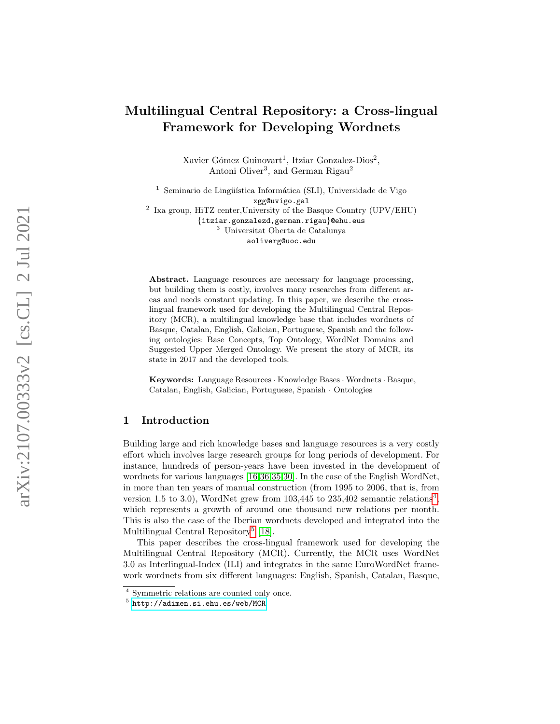# Multilingual Central Repository: a Cross-lingual Framework for Developing Wordnets

Xavier Gómez Guinovart<sup>1</sup>, Itziar Gonzalez-Dios<sup>2</sup>, Antoni Oliver<sup>3</sup>, and German Rigau<sup>2</sup>

 $1$  Seminario de Lingüística Informática (SLI), Universidade de Vigo xgg@uvigo.gal 2 Ixa group, HiTZ center,University of the Basque Country (UPV/EHU) {itziar.gonzalezd,german.rigau}@ehu.eus <sup>3</sup> Universitat Oberta de Catalunya aoliverg@uoc.edu

Abstract. Language resources are necessary for language processing, but building them is costly, involves many researches from different areas and needs constant updating. In this paper, we describe the crosslingual framework used for developing the Multilingual Central Repository (MCR), a multilingual knowledge base that includes wordnets of Basque, Catalan, English, Galician, Portuguese, Spanish and the following ontologies: Base Concepts, Top Ontology, WordNet Domains and Suggested Upper Merged Ontology. We present the story of MCR, its state in 2017 and the developed tools.

Keywords: Language Resources · Knowledge Bases · Wordnets · Basque, Catalan, English, Galician, Portuguese, Spanish · Ontologies

# 1 Introduction

Building large and rich knowledge bases and language resources is a very costly effort which involves large research groups for long periods of development. For instance, hundreds of person-years have been invested in the development of wordnets for various languages [\[16,](#page-9-0)[36](#page-10-0)[,35,](#page-10-1)[30\]](#page-10-2). In the case of the English WordNet, in more than ten years of manual construction (from 1995 to 2006, that is, from version 1.5 to 3.0), WordNet grew from  $103,445$  $103,445$  $103,445$  to  $235,402$  semantic relations<sup>4</sup>, which represents a growth of around one thousand new relations per month. This is also the case of the Iberian wordnets developed and integrated into the Multilingual Central Repository<sup>[5](#page-0-1)</sup> [\[18\]](#page-9-1).

This paper describes the cross-lingual framework used for developing the Multilingual Central Repository (MCR). Currently, the MCR uses WordNet 3.0 as Interlingual-Index (ILI) and integrates in the same EuroWordNet framework wordnets from six different languages: English, Spanish, Catalan, Basque,

<span id="page-0-0"></span><sup>&</sup>lt;sup>4</sup> Symmetric relations are counted only once.

<span id="page-0-1"></span> $^5$  <http://adimen.si.ehu.es/web/MCR>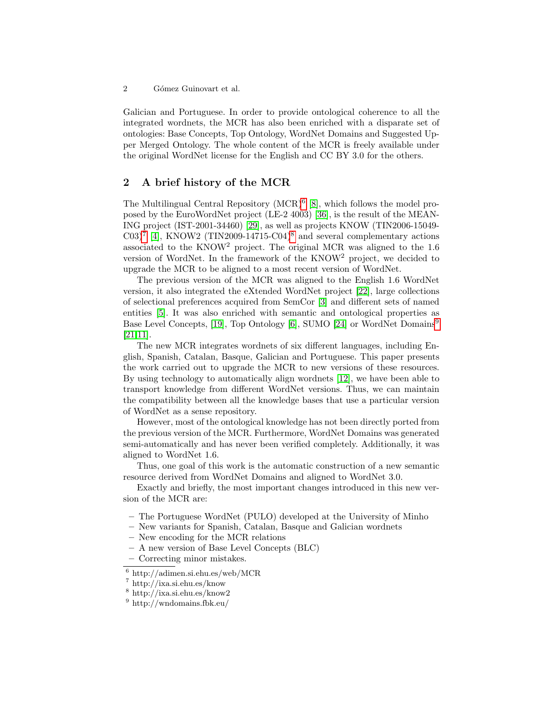2 Gómez Guinovart et al.

Galician and Portuguese. In order to provide ontological coherence to all the integrated wordnets, the MCR has also been enriched with a disparate set of ontologies: Base Concepts, Top Ontology, WordNet Domains and Suggested Upper Merged Ontology. The whole content of the MCR is freely available under the original WordNet license for the English and CC BY 3.0 for the others.

### 2 A brief history of the MCR

The Multilingual Central Repository  $(MCR)^6$  $(MCR)^6$  [\[8\]](#page-9-2), which follows the model proposed by the EuroWordNet project (LE-2 4003) [\[36\]](#page-10-0), is the result of the MEAN-ING project (IST-2001-34460) [\[29\]](#page-10-3), as well as projects KNOW (TIN2006-15049-  $C(03)^7$  $C(03)^7$  [\[4\]](#page-9-3), KNOW2 (TIN2009-14715-C04)<sup>[8](#page-1-2)</sup> and several complementary actions associated to the KNOW<sup>2</sup> project. The original MCR was aligned to the 1.6 version of WordNet. In the framework of the KNOW<sup>2</sup> project, we decided to upgrade the MCR to be aligned to a most recent version of WordNet.

The previous version of the MCR was aligned to the English 1.6 WordNet version, it also integrated the eXtended WordNet project [\[22\]](#page-10-4), large collections of selectional preferences acquired from SemCor [\[3\]](#page-8-0) and different sets of named entities [\[5\]](#page-9-4). It was also enriched with semantic and ontological properties as Base Level Concepts, [\[19\]](#page-9-5), Top Ontology [\[6\]](#page-9-6), SUMO [\[24\]](#page-10-5) or WordNet Domains[9](#page-1-3) [\[21](#page-10-6)[,11\]](#page-9-7).

The new MCR integrates wordnets of six different languages, including English, Spanish, Catalan, Basque, Galician and Portuguese. This paper presents the work carried out to upgrade the MCR to new versions of these resources. By using technology to automatically align wordnets [\[12\]](#page-9-8), we have been able to transport knowledge from different WordNet versions. Thus, we can maintain the compatibility between all the knowledge bases that use a particular version of WordNet as a sense repository.

However, most of the ontological knowledge has not been directly ported from the previous version of the MCR. Furthermore, WordNet Domains was generated semi-automatically and has never been verified completely. Additionally, it was aligned to WordNet 1.6.

Thus, one goal of this work is the automatic construction of a new semantic resource derived from WordNet Domains and aligned to WordNet 3.0.

Exactly and briefly, the most important changes introduced in this new version of the MCR are:

- The Portuguese WordNet (PULO) developed at the University of Minho
- New variants for Spanish, Catalan, Basque and Galician wordnets
- New encoding for the MCR relations
- A new version of Base Level Concepts (BLC)
- Correcting minor mistakes.

<span id="page-1-0"></span><sup>6</sup> http://adimen.si.ehu.es/web/MCR

<span id="page-1-1"></span><sup>7</sup> http://ixa.si.ehu.es/know

<span id="page-1-2"></span><sup>8</sup> http://ixa.si.ehu.es/know2

<span id="page-1-3"></span><sup>9</sup> http://wndomains.fbk.eu/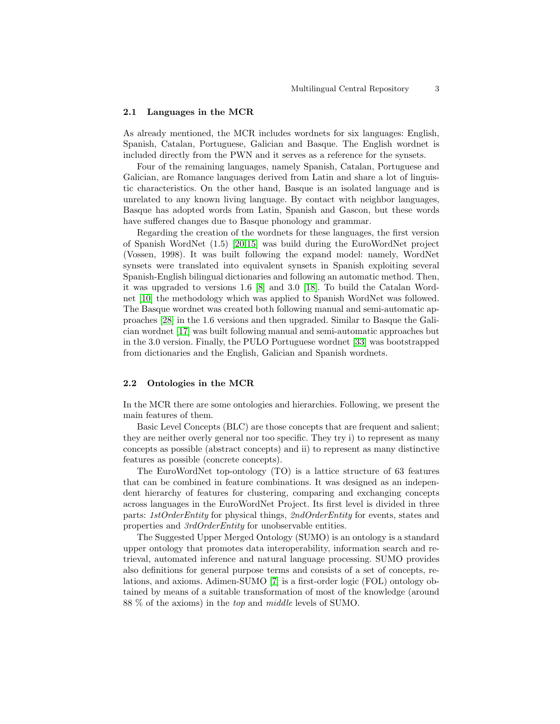#### 2.1 Languages in the MCR

As already mentioned, the MCR includes wordnets for six languages: English, Spanish, Catalan, Portuguese, Galician and Basque. The English wordnet is included directly from the PWN and it serves as a reference for the synsets.

Four of the remaining languages, namely Spanish, Catalan, Portuguese and Galician, are Romance languages derived from Latin and share a lot of linguistic characteristics. On the other hand, Basque is an isolated language and is unrelated to any known living language. By contact with neighbor languages, Basque has adopted words from Latin, Spanish and Gascon, but these words have suffered changes due to Basque phonology and grammar.

Regarding the creation of the wordnets for these languages, the first version of Spanish WordNet (1.5) [\[20,](#page-9-9)[15\]](#page-9-10) was build during the EuroWordNet project (Vossen, 1998). It was built following the expand model: namely, WordNet synsets were translated into equivalent synsets in Spanish exploiting several Spanish-English bilingual dictionaries and following an automatic method. Then, it was upgraded to versions 1.6 [\[8\]](#page-9-2) and 3.0 [\[18\]](#page-9-1). To build the Catalan Wordnet [\[10\]](#page-9-11) the methodology which was applied to Spanish WordNet was followed. The Basque wordnet was created both following manual and semi-automatic approaches [\[28\]](#page-10-7) in the 1.6 versions and then upgraded. Similar to Basque the Galician wordnet [\[17\]](#page-9-12) was built following manual and semi-automatic approaches but in the 3.0 version. Finally, the PULO Portuguese wordnet [\[33\]](#page-10-8) was bootstrapped from dictionaries and the English, Galician and Spanish wordnets.

### 2.2 Ontologies in the MCR

In the MCR there are some ontologies and hierarchies. Following, we present the main features of them.

Basic Level Concepts (BLC) are those concepts that are frequent and salient; they are neither overly general nor too specific. They try i) to represent as many concepts as possible (abstract concepts) and ii) to represent as many distinctive features as possible (concrete concepts).

The EuroWordNet top-ontology (TO) is a lattice structure of 63 features that can be combined in feature combinations. It was designed as an independent hierarchy of features for clustering, comparing and exchanging concepts across languages in the EuroWordNet Project. Its first level is divided in three parts: 1stOrderEntity for physical things, 2ndOrderEntity for events, states and properties and 3rdOrderEntity for unobservable entities.

The Suggested Upper Merged Ontology (SUMO) is an ontology is a standard upper ontology that promotes data interoperability, information search and retrieval, automated inference and natural language processing. SUMO provides also definitions for general purpose terms and consists of a set of concepts, relations, and axioms. Adimen-SUMO [\[7\]](#page-9-13) is a first-order logic (FOL) ontology obtained by means of a suitable transformation of most of the knowledge (around 88 % of the axioms) in the top and middle levels of SUMO.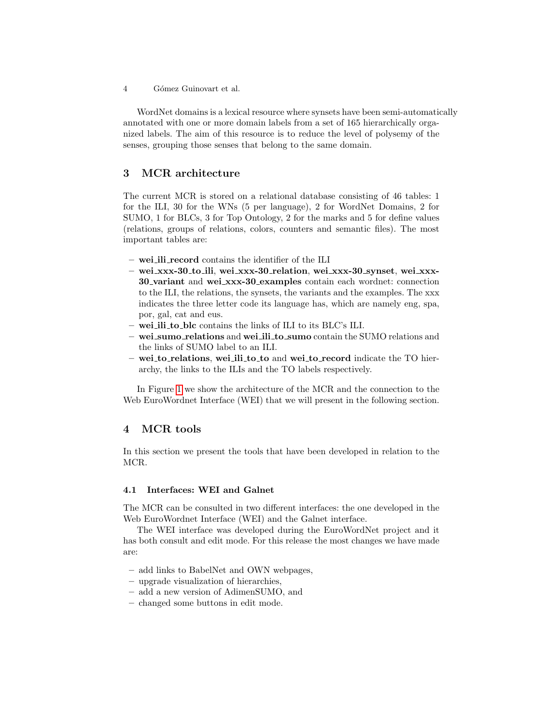4 Gómez Guinovart et al.

WordNet domains is a lexical resource where synsets have been semi-automatically annotated with one or more domain labels from a set of 165 hierarchically organized labels. The aim of this resource is to reduce the level of polysemy of the senses, grouping those senses that belong to the same domain.

# 3 MCR architecture

The current MCR is stored on a relational database consisting of 46 tables: 1 for the ILI, 30 for the WNs (5 per language), 2 for WordNet Domains, 2 for SUMO, 1 for BLCs, 3 for Top Ontology, 2 for the marks and 5 for define values (relations, groups of relations, colors, counters and semantic files). The most important tables are:

- wei ili record contains the identifier of the ILI
- wei xxx-30 to ili, wei xxx-30 relation, wei xxx-30 synset, wei xxx-30 variant and wei xxx-30 examples contain each wordnet: connection to the ILI, the relations, the synsets, the variants and the examples. The xxx indicates the three letter code its language has, which are namely eng, spa, por, gal, cat and eus.
- wei ili to blc contains the links of ILI to its BLC's ILI.
- wei sumo relations and wei ili to sumo contain the SUMO relations and the links of SUMO label to an ILI.
- wei to relations, wei ili to to and wei to record indicate the TO hierarchy, the links to the ILIs and the TO labels respectively.

In Figure [1](#page-4-0) we show the architecture of the MCR and the connection to the Web EuroWordnet Interface (WEI) that we will present in the following section.

# 4 MCR tools

In this section we present the tools that have been developed in relation to the MCR.

### 4.1 Interfaces: WEI and Galnet

The MCR can be consulted in two different interfaces: the one developed in the Web EuroWordnet Interface (WEI) and the Galnet interface.

The WEI interface was developed during the EuroWordNet project and it has both consult and edit mode. For this release the most changes we have made are:

- add links to BabelNet and OWN webpages,
- upgrade visualization of hierarchies,
- add a new version of AdimenSUMO, and
- changed some buttons in edit mode.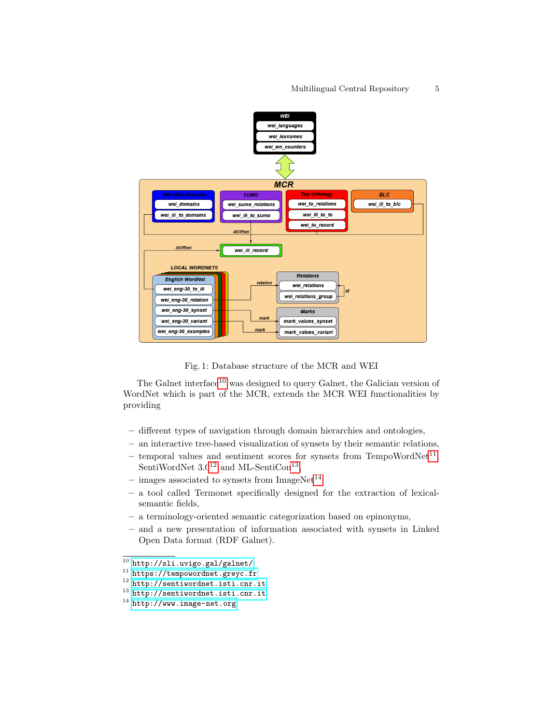#### Multilingual Central Repository 5

<span id="page-4-0"></span>

Fig. 1: Database structure of the MCR and WEI

The Galnet interface<sup>[10](#page-4-1)</sup> was designed to query Galnet, the Galician version of WordNet which is part of the MCR, extends the MCR WEI functionalities by providing

- different types of navigation through domain hierarchies and ontologies,
- an interactive tree-based visualization of synsets by their semantic relations,
- temporal values and sentiment scores for synsets from TempoWordNet<sup>[11](#page-4-2)</sup>, SentiWordNet  $3.0^{12}$  $3.0^{12}$  $3.0^{12}$  and ML-SentiCon<sup>[13](#page-4-4)</sup>,
- images associated to synsets from  $ImageNet^{14}$  $ImageNet^{14}$  $ImageNet^{14}$
- a tool called Termonet specifically designed for the extraction of lexicalsemantic fields,
- a terminology-oriented semantic categorization based on epinonyms,
- and a new presentation of information associated with synsets in Linked Open Data format (RDF Galnet).

<span id="page-4-1"></span> $\frac{10 \text{ http://sil.uvigo.gal/galnet}}$ 

<span id="page-4-2"></span><sup>11</sup> <https://tempowordnet.greyc.fr>

<span id="page-4-3"></span><sup>12</sup> <http://sentiwordnet.isti.cnr.it>

<span id="page-4-4"></span><sup>13</sup> <http://sentiwordnet.isti.cnr.it>

<span id="page-4-5"></span><sup>14</sup> <http://www.image-net.org>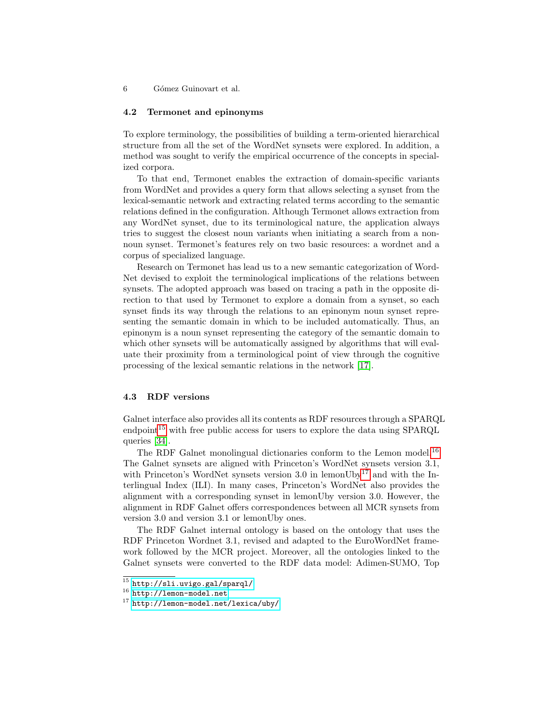6 G´omez Guinovart et al.

#### 4.2 Termonet and epinonyms

To explore terminology, the possibilities of building a term-oriented hierarchical structure from all the set of the WordNet synsets were explored. In addition, a method was sought to verify the empirical occurrence of the concepts in specialized corpora.

To that end, Termonet enables the extraction of domain-specific variants from WordNet and provides a query form that allows selecting a synset from the lexical-semantic network and extracting related terms according to the semantic relations defined in the configuration. Although Termonet allows extraction from any WordNet synset, due to its terminological nature, the application always tries to suggest the closest noun variants when initiating a search from a nonnoun synset. Termonet's features rely on two basic resources: a wordnet and a corpus of specialized language.

Research on Termonet has lead us to a new semantic categorization of Word-Net devised to exploit the terminological implications of the relations between synsets. The adopted approach was based on tracing a path in the opposite direction to that used by Termonet to explore a domain from a synset, so each synset finds its way through the relations to an epinonym noun synset representing the semantic domain in which to be included automatically. Thus, an epinonym is a noun synset representing the category of the semantic domain to which other synsets will be automatically assigned by algorithms that will evaluate their proximity from a terminological point of view through the cognitive processing of the lexical semantic relations in the network [\[17\]](#page-9-12).

### 4.3 RDF versions

Galnet interface also provides all its contents as RDF resources through a SPARQL endpoint<sup>[15](#page-5-0)</sup> with free public access for users to explore the data using  $SPARQL$ queries [\[34\]](#page-10-9).

The RDF Galnet monolingual dictionaries conform to the Lemon model.<sup>[16](#page-5-1)</sup> The Galnet synsets are aligned with Princeton's WordNet synsets version 3.1, with Princeton's WordNet synsets version 3.0 in lemonUby<sup>[17](#page-5-2)</sup> and with the Interlingual Index (ILI). In many cases, Princeton's WordNet also provides the alignment with a corresponding synset in lemonUby version 3.0. However, the alignment in RDF Galnet offers correspondences between all MCR synsets from version 3.0 and version 3.1 or lemonUby ones.

The RDF Galnet internal ontology is based on the ontology that uses the RDF Princeton Wordnet 3.1, revised and adapted to the EuroWordNet framework followed by the MCR project. Moreover, all the ontologies linked to the Galnet synsets were converted to the RDF data model: Adimen-SUMO, Top

<span id="page-5-0"></span> $^{15}$ <http://sli.uvigo.gal/sparql/>

<span id="page-5-1"></span><sup>16</sup> <http://lemon-model.net>

<span id="page-5-2"></span><sup>17</sup> <http://lemon-model.net/lexica/uby/>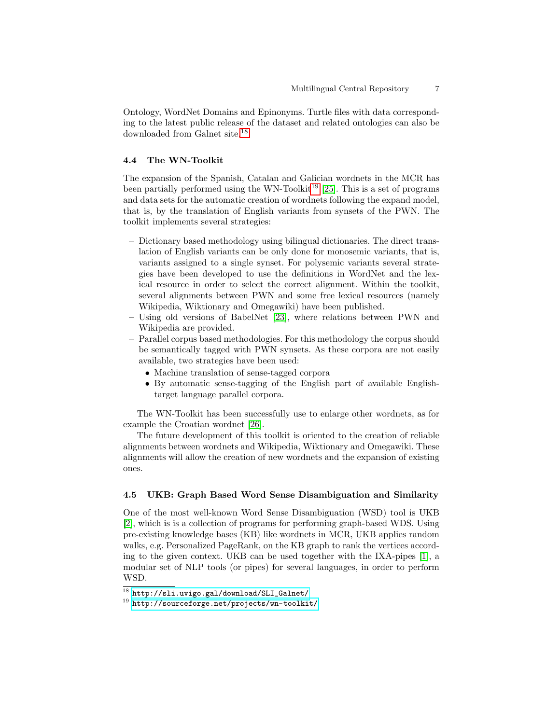Ontology, WordNet Domains and Epinonyms. Turtle files with data corresponding to the latest public release of the dataset and related ontologies can also be downloaded from Galnet site.[18](#page-6-0)

### 4.4 The WN-Toolkit

The expansion of the Spanish, Catalan and Galician wordnets in the MCR has been partially performed using the WN-Toolkit<sup>[19](#page-6-1)</sup> [\[25\]](#page-10-10). This is a set of programs and data sets for the automatic creation of wordnets following the expand model, that is, by the translation of English variants from synsets of the PWN. The toolkit implements several strategies:

- Dictionary based methodology using bilingual dictionaries. The direct translation of English variants can be only done for monosemic variants, that is, variants assigned to a single synset. For polysemic variants several strategies have been developed to use the definitions in WordNet and the lexical resource in order to select the correct alignment. Within the toolkit, several alignments between PWN and some free lexical resources (namely Wikipedia, Wiktionary and Omegawiki) have been published.
- Using old versions of BabelNet [\[23\]](#page-10-11), where relations between PWN and Wikipedia are provided.
- Parallel corpus based methodologies. For this methodology the corpus should be semantically tagged with PWN synsets. As these corpora are not easily available, two strategies have been used:
	- Machine translation of sense-tagged corpora
	- By automatic sense-tagging of the English part of available Englishtarget language parallel corpora.

The WN-Toolkit has been successfully use to enlarge other wordnets, as for example the Croatian wordnet [\[26\]](#page-10-12).

The future development of this toolkit is oriented to the creation of reliable alignments between wordnets and Wikipedia, Wiktionary and Omegawiki. These alignments will allow the creation of new wordnets and the expansion of existing ones.

### 4.5 UKB: Graph Based Word Sense Disambiguation and Similarity

One of the most well-known Word Sense Disambiguation (WSD) tool is UKB [\[2\]](#page-8-1), which is is a collection of programs for performing graph-based WDS. Using pre-existing knowledge bases (KB) like wordnets in MCR, UKB applies random walks, e.g. Personalized PageRank, on the KB graph to rank the vertices according to the given context. UKB can be used together with the IXA-pipes [\[1\]](#page-8-2), a modular set of NLP tools (or pipes) for several languages, in order to perform WSD.

<span id="page-6-0"></span> $^{18}$  [http://sli.uvigo.gal/download/SLI\\_Galnet/](http://sli.uvigo.gal/download/SLI_Galnet/)

<span id="page-6-1"></span><sup>19</sup> <http://sourceforge.net/projects/wn-toolkit/>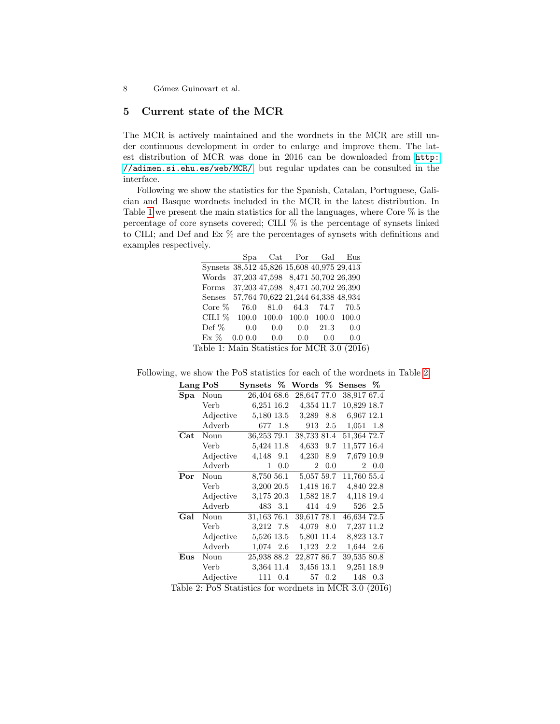8 Gómez Guinovart et al.

# 5 Current state of the MCR

The MCR is actively maintained and the wordnets in the MCR are still under continuous development in order to enlarge and improve them. The latest distribution of MCR was done in 2016 can be downloaded from [http:](http://adimen.si.ehu.es/web/MCR/) [//adimen.si.ehu.es/web/MCR/](http://adimen.si.ehu.es/web/MCR/), but regular updates can be consulted in the interface.

<span id="page-7-0"></span>Following we show the statistics for the Spanish, Catalan, Portuguese, Galician and Basque wordnets included in the MCR in the latest distribution. In Table [1](#page-7-0) we present the main statistics for all the languages, where Core % is the percentage of core synsets covered; CILI % is the percentage of synsets linked to CILI; and Def and Ex % are the percentages of synsets with definitions and examples respectively.

|         |       |     | Gal                  | Eus                                                                                                                                                                                                                                                                    |
|---------|-------|-----|----------------------|------------------------------------------------------------------------------------------------------------------------------------------------------------------------------------------------------------------------------------------------------------------------|
|         |       |     |                      |                                                                                                                                                                                                                                                                        |
|         |       |     |                      |                                                                                                                                                                                                                                                                        |
|         |       |     |                      |                                                                                                                                                                                                                                                                        |
|         |       |     |                      |                                                                                                                                                                                                                                                                        |
| - 76.0  | 81.0  |     |                      | 70.5                                                                                                                                                                                                                                                                   |
| 100.0   | 100.0 |     | 100.0                | 100.0                                                                                                                                                                                                                                                                  |
| 0.0     | 0.0   | 0.0 | 21.3                 | 0.0                                                                                                                                                                                                                                                                    |
| 0.0 0.0 | 0.0   | 0.0 | 0.0                  | 0.0                                                                                                                                                                                                                                                                    |
|         |       | Spa | $\operatorname{Cat}$ | Por<br>Synsets 38,512 45,826 15,608 40,975 29,413<br>37,203 47,598 8,471 50,702 26,390<br>Forms 37,203 47,598 8,471 50,702 26,390<br>57,764 70,622 21,244 64,338 48,934<br>64.3 74.7<br>100.0<br>$-11 - 1$ . M $-1$ . $C_{+}$ . $C_{+}$ . $C_{-}$ $C_{-}$ . M $CD$ $9$ |

Table 1: Main Statistics for MCR 3.0 (2016)

| Lang PoS             |             | $\mathop{\mathrm{Synsets}}\nolimits~\%$ Words $\%$ |            |             |         | Senses \%   |         |
|----------------------|-------------|----------------------------------------------------|------------|-------------|---------|-------------|---------|
| $\mathbf{Spa}$       | Noun        | 26,404 68.6                                        |            | 28,647 77.0 |         | 38,917 67.4 |         |
|                      | <b>Verb</b> | 6,251 16.2                                         |            | 4,354 11.7  |         | 10,829 18.7 |         |
|                      | Adjective   | 5,180 13.5                                         |            | 3.289 8.8   |         | 6.967 12.1  |         |
|                      | Adverb      |                                                    | 677 1.8    |             | 913 2.5 | $1,051$ 1.8 |         |
| $\operatorname{Cat}$ | Noun        | 36,253 79.1                                        |            | 38,733 81.4 |         | 51,364 72.7 |         |
|                      | Verb        | 5,424 11.8                                         |            | 4,633 9.7   |         | 11,577 16.4 |         |
|                      | Adjective   | 4,148 9.1                                          |            | 4,230 8.9   |         | 7,679 10.9  |         |
|                      | Adverb      |                                                    | $1 \t 0.0$ | $2^{\circ}$ | 0.0     |             | 2 0.0   |
| Por                  | Noun        | 8,750 56.1                                         |            | 5,057 59.7  |         | 11,760 55.4 |         |
|                      | Verb        | 3,200 20.5                                         |            | 1,418 16.7  |         | 4,840 22.8  |         |
|                      | Adjective   | 3,175 20.3                                         |            | 1,582 18.7  |         | 4,118 19.4  |         |
|                      | Adverb      |                                                    | 483 3.1    |             | 414 4.9 |             | 526 2.5 |
| Gal                  | Noun        | 31,163 76.1                                        |            | 39,617 78.1 |         | 46,634 72.5 |         |
|                      | Verb        | 3,212 7.8                                          |            | 4,079 8.0   |         | 7,237 11.2  |         |
|                      | Adjective   | 5,526 13.5                                         |            | 5,801 11.4  |         | 8,823 13.7  |         |
|                      | Adverb      | 1,074 2.6                                          |            | 1,123 2.2   |         | 1,644 2.6   |         |
| Eus                  | Noun        | 25,938 88.2                                        |            | 22,877 86.7 |         | 39,535 80.8 |         |
|                      | Verb        | 3,364 11.4                                         |            | 3,456 13.1  |         | 9,251 18.9  |         |
|                      | Adjective   |                                                    | 111 0.4    |             | 57 0.2  |             | 148 0.3 |
|                      |             |                                                    |            |             |         |             |         |

<span id="page-7-1"></span>Following, we show the PoS statistics for each of the wordnets in Table [2.](#page-7-1)

Table 2: PoS Statistics for wordnets in MCR 3.0 (2016)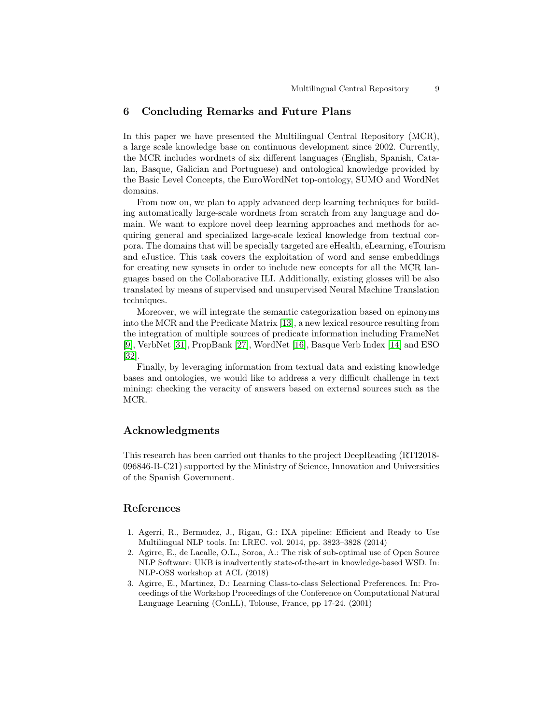# 6 Concluding Remarks and Future Plans

In this paper we have presented the Multilingual Central Repository (MCR), a large scale knowledge base on continuous development since 2002. Currently, the MCR includes wordnets of six different languages (English, Spanish, Catalan, Basque, Galician and Portuguese) and ontological knowledge provided by the Basic Level Concepts, the EuroWordNet top-ontology, SUMO and WordNet domains.

From now on, we plan to apply advanced deep learning techniques for building automatically large-scale wordnets from scratch from any language and domain. We want to explore novel deep learning approaches and methods for acquiring general and specialized large-scale lexical knowledge from textual corpora. The domains that will be specially targeted are eHealth, eLearning, eTourism and eJustice. This task covers the exploitation of word and sense embeddings for creating new synsets in order to include new concepts for all the MCR languages based on the Collaborative ILI. Additionally, existing glosses will be also translated by means of supervised and unsupervised Neural Machine Translation techniques.

Moreover, we will integrate the semantic categorization based on epinonyms into the MCR and the Predicate Matrix [\[13\]](#page-9-14), a new lexical resource resulting from the integration of multiple sources of predicate information including FrameNet [\[9\]](#page-9-15), VerbNet [\[31\]](#page-10-13), PropBank [\[27\]](#page-10-14), WordNet [\[16\]](#page-9-0), Basque Verb Index [\[14\]](#page-9-16) and ESO [\[32\]](#page-10-15).

Finally, by leveraging information from textual data and existing knowledge bases and ontologies, we would like to address a very difficult challenge in text mining: checking the veracity of answers based on external sources such as the MCR.

# Acknowledgments

This research has been carried out thanks to the project DeepReading (RTI2018- 096846-B-C21) supported by the Ministry of Science, Innovation and Universities of the Spanish Government.

## References

- <span id="page-8-2"></span>1. Agerri, R., Bermudez, J., Rigau, G.: IXA pipeline: Efficient and Ready to Use Multilingual NLP tools. In: LREC. vol. 2014, pp. 3823–3828 (2014)
- <span id="page-8-1"></span>2. Agirre, E., de Lacalle, O.L., Soroa, A.: The risk of sub-optimal use of Open Source NLP Software: UKB is inadvertently state-of-the-art in knowledge-based WSD. In: NLP-OSS workshop at ACL (2018)
- <span id="page-8-0"></span>3. Agirre, E., Martinez, D.: Learning Class-to-class Selectional Preferences. In: Proceedings of the Workshop Proceedings of the Conference on Computational Natural Language Learning (ConLL), Tolouse, France, pp 17-24. (2001)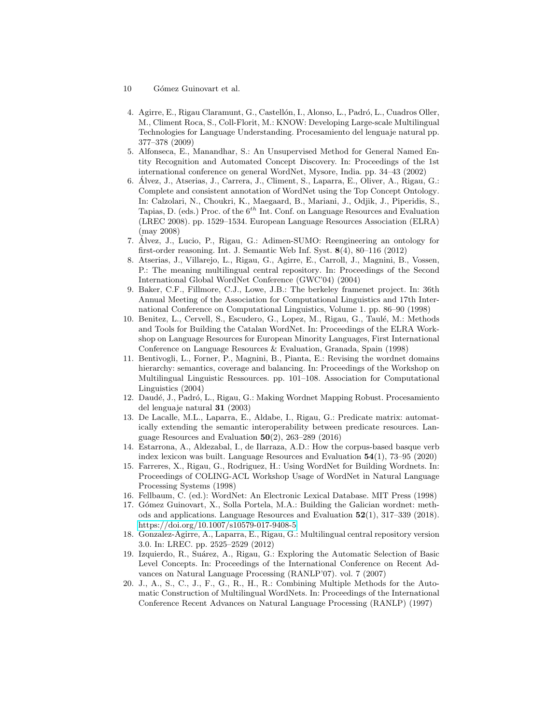- 10 Gómez Guinovart et al.
- <span id="page-9-3"></span>4. Agirre, E., Rigau Claramunt, G., Castellón, I., Alonso, L., Padró, L., Cuadros Oller, M., Climent Roca, S., Coll-Florit, M.: KNOW: Developing Large-scale Multilingual Technologies for Language Understanding. Procesamiento del lenguaje natural pp. 377–378 (2009)
- <span id="page-9-4"></span>5. Alfonseca, E., Manandhar, S.: An Unsupervised Method for General Named Entity Recognition and Automated Concept Discovery. In: Proceedings of the 1st international conference on general WordNet, Mysore, India. pp. 34–43 (2002)
- <span id="page-9-6"></span>6. Alvez, J., Atserias, J., Carrera, J., Climent, S., Laparra, E., Oliver, A., Rigau, G.: ´ Complete and consistent annotation of WordNet using the Top Concept Ontology. In: Calzolari, N., Choukri, K., Maegaard, B., Mariani, J., Odjik, J., Piperidis, S., Tapias, D. (eds.) Proc. of the  $6^{th}$  Int. Conf. on Language Resources and Evaluation (LREC 2008). pp. 1529–1534. European Language Resources Association (ELRA) (may 2008)
- <span id="page-9-13"></span>7. Alvez, J., Lucio, P., Rigau, G.: Adimen-SUMO: Reengineering an ontology for ´ first-order reasoning. Int. J. Semantic Web Inf. Syst. 8(4), 80–116 (2012)
- <span id="page-9-2"></span>8. Atserias, J., Villarejo, L., Rigau, G., Agirre, E., Carroll, J., Magnini, B., Vossen, P.: The meaning multilingual central repository. In: Proceedings of the Second International Global WordNet Conference (GWC'04) (2004)
- <span id="page-9-15"></span>9. Baker, C.F., Fillmore, C.J., Lowe, J.B.: The berkeley framenet project. In: 36th Annual Meeting of the Association for Computational Linguistics and 17th International Conference on Computational Linguistics, Volume 1. pp. 86–90 (1998)
- <span id="page-9-11"></span>10. Benitez, L., Cervell, S., Escudero, G., Lopez, M., Rigau, G., Taulé, M.: Methods and Tools for Building the Catalan WordNet. In: Proceedings of the ELRA Workshop on Language Resources for European Minority Languages, First International Conference on Language Resources & Evaluation, Granada, Spain (1998)
- <span id="page-9-7"></span>11. Bentivogli, L., Forner, P., Magnini, B., Pianta, E.: Revising the wordnet domains hierarchy: semantics, coverage and balancing. In: Proceedings of the Workshop on Multilingual Linguistic Ressources. pp. 101–108. Association for Computational Linguistics (2004)
- <span id="page-9-8"></span>12. Daudé, J., Padró, L., Rigau, G.: Making Wordnet Mapping Robust. Procesamiento del lenguaje natural 31 (2003)
- <span id="page-9-14"></span>13. De Lacalle, M.L., Laparra, E., Aldabe, I., Rigau, G.: Predicate matrix: automatically extending the semantic interoperability between predicate resources. Language Resources and Evaluation  $50(2)$ , 263-289 (2016)
- <span id="page-9-16"></span>14. Estarrona, A., Aldezabal, I., de Ilarraza, A.D.: How the corpus-based basque verb index lexicon was built. Language Resources and Evaluation  $54(1)$ ,  $73-95(2020)$
- <span id="page-9-10"></span>15. Farreres, X., Rigau, G., Rodriguez, H.: Using WordNet for Building Wordnets. In: Proceedings of COLING-ACL Workshop Usage of WordNet in Natural Language Processing Systems (1998)
- <span id="page-9-0"></span>16. Fellbaum, C. (ed.): WordNet: An Electronic Lexical Database. MIT Press (1998)
- <span id="page-9-12"></span>17. Gómez Guinovart, X., Solla Portela, M.A.: Building the Galician wordnet: methods and applications. Language Resources and Evaluation 52(1), 317–339 (2018). <https://doi.org/10.1007/s10579-017-9408-5>
- <span id="page-9-1"></span>18. Gonzalez-Agirre, A., Laparra, E., Rigau, G.: Multilingual central repository version 3.0. In: LREC. pp. 2525–2529 (2012)
- <span id="page-9-5"></span>19. Izquierdo, R., Su´arez, A., Rigau, G.: Exploring the Automatic Selection of Basic Level Concepts. In: Proceedings of the International Conference on Recent Advances on Natural Language Processing (RANLP'07). vol. 7 (2007)
- <span id="page-9-9"></span>20. J., A., S., C., J., F., G., R., H., R.: Combining Multiple Methods for the Automatic Construction of Multilingual WordNets. In: Proceedings of the International Conference Recent Advances on Natural Language Processing (RANLP) (1997)